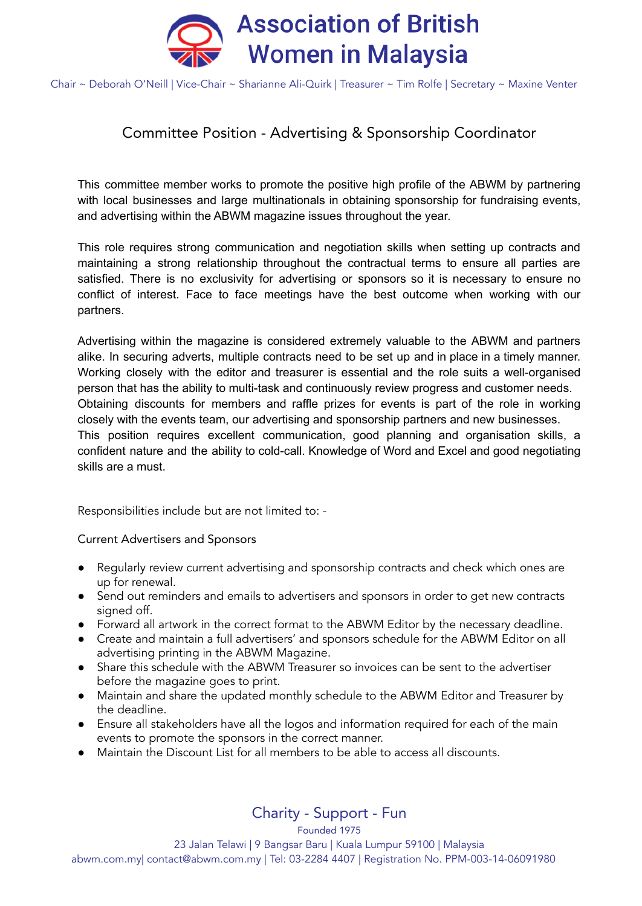

Chair ~ Deborah O'Neill | Vice-Chair ~ Sharianne Ali-Quirk | Treasurer ~ Tim Rolfe | Secretary ~ Maxine Venter

## Committee Position - Advertising & Sponsorship Coordinator

This committee member works to promote the positive high profile of the ABWM by partnering with local businesses and large multinationals in obtaining sponsorship for fundraising events, and advertising within the ABWM magazine issues throughout the year.

This role requires strong communication and negotiation skills when setting up contracts and maintaining a strong relationship throughout the contractual terms to ensure all parties are satisfied. There is no exclusivity for advertising or sponsors so it is necessary to ensure no conflict of interest. Face to face meetings have the best outcome when working with our partners.

Advertising within the magazine is considered extremely valuable to the ABWM and partners alike. In securing adverts, multiple contracts need to be set up and in place in a timely manner. Working closely with the editor and treasurer is essential and the role suits a well-organised person that has the ability to multi-task and continuously review progress and customer needs. Obtaining discounts for members and raffle prizes for events is part of the role in working closely with the events team, our advertising and sponsorship partners and new businesses. This position requires excellent communication, good planning and organisation skills, a confident nature and the ability to cold-call. Knowledge of Word and Excel and good negotiating skills are a must.

Responsibilities include but are not limited to: -

Current Advertisers and Sponsors

- Regularly review current advertising and sponsorship contracts and check which ones are up for renewal.
- Send out reminders and emails to advertisers and sponsors in order to get new contracts signed off.
- Forward all artwork in the correct format to the ABWM Editor by the necessary deadline.
- Create and maintain a full advertisers' and sponsors schedule for the ABWM Editor on all advertising printing in the ABWM Magazine.
- Share this schedule with the ABWM Treasurer so invoices can be sent to the advertiser before the magazine goes to print.
- Maintain and share the updated monthly schedule to the ABWM Editor and Treasurer by the deadline.
- Ensure all stakeholders have all the logos and information required for each of the main events to promote the sponsors in the correct manner.
- Maintain the Discount List for all members to be able to access all discounts.

Charity - Support - Fun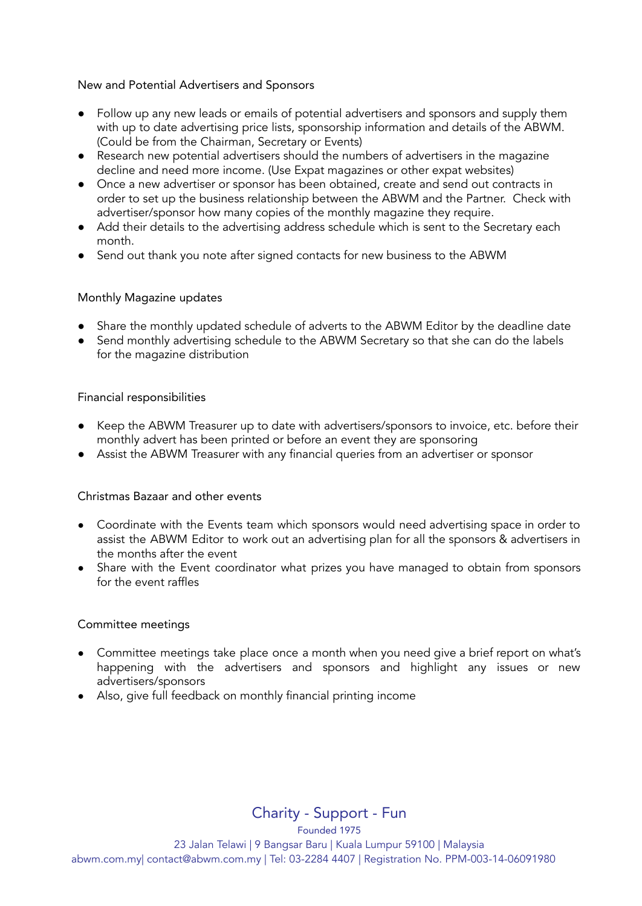### New and Potential Advertisers and Sponsors

- Follow up any new leads or emails of potential advertisers and sponsors and supply them with up to date advertising price lists, sponsorship information and details of the ABWM. (Could be from the Chairman, Secretary or Events)
- Research new potential advertisers should the numbers of advertisers in the magazine decline and need more income. (Use Expat magazines or other expat websites)
- Once a new advertiser or sponsor has been obtained, create and send out contracts in order to set up the business relationship between the ABWM and the Partner. Check with advertiser/sponsor how many copies of the monthly magazine they require.
- Add their details to the advertising address schedule which is sent to the Secretary each month.
- Send out thank you note after signed contacts for new business to the ABWM

## Monthly Magazine updates

- Share the monthly updated schedule of adverts to the ABWM Editor by the deadline date
- Send monthly advertising schedule to the ABWM Secretary so that she can do the labels for the magazine distribution

## Financial responsibilities

- Keep the ABWM Treasurer up to date with advertisers/sponsors to invoice, etc. before their monthly advert has been printed or before an event they are sponsoring
- Assist the ABWM Treasurer with any financial queries from an advertiser or sponsor

#### Christmas Bazaar and other events

- Coordinate with the Events team which sponsors would need advertising space in order to assist the ABWM Editor to work out an advertising plan for all the sponsors & advertisers in the months after the event
- Share with the Event coordinator what prizes you have managed to obtain from sponsors for the event raffles

#### Committee meetings

- Committee meetings take place once a month when you need give a brief report on what's happening with the advertisers and sponsors and highlight any issues or new advertisers/sponsors
- Also, give full feedback on monthly financial printing income

Charity - Support - Fun

Founded 1975 23 Jalan Telawi | 9 Bangsar Baru | Kuala Lumpur 59100 | Malaysia abwm.com.my| contact@abwm.com.my | Tel: 03-2284 4407 | Registration No. PPM-003-14-06091980